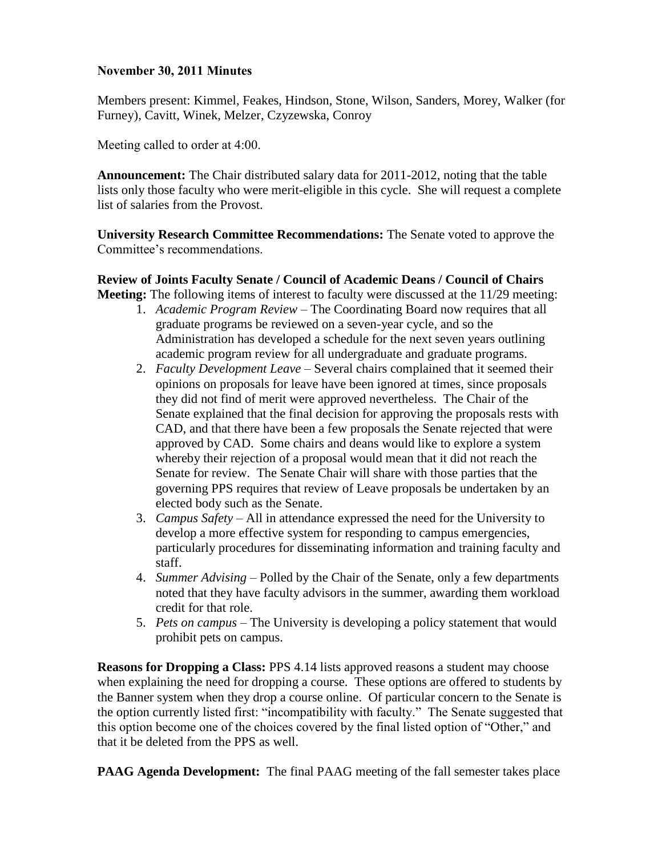## **November 30, 2011 Minutes**

Members present: Kimmel, Feakes, Hindson, Stone, Wilson, Sanders, Morey, Walker (for Furney), Cavitt, Winek, Melzer, Czyzewska, Conroy

Meeting called to order at 4:00.

**Announcement:** The Chair distributed salary data for 2011-2012, noting that the table lists only those faculty who were merit-eligible in this cycle. She will request a complete list of salaries from the Provost.

**University Research Committee Recommendations:** The Senate voted to approve the Committee's recommendations.

**Review of Joints Faculty Senate / Council of Academic Deans / Council of Chairs Meeting:** The following items of interest to faculty were discussed at the 11/29 meeting:

- 1. *Academic Program Review –* The Coordinating Board now requires that all graduate programs be reviewed on a seven-year cycle, and so the Administration has developed a schedule for the next seven years outlining academic program review for all undergraduate and graduate programs.
- 2. *Faculty Development Leave –* Several chairs complained that it seemed their opinions on proposals for leave have been ignored at times, since proposals they did not find of merit were approved nevertheless. The Chair of the Senate explained that the final decision for approving the proposals rests with CAD, and that there have been a few proposals the Senate rejected that were approved by CAD. Some chairs and deans would like to explore a system whereby their rejection of a proposal would mean that it did not reach the Senate for review. The Senate Chair will share with those parties that the governing PPS requires that review of Leave proposals be undertaken by an elected body such as the Senate.
- 3. *Campus Safety –* All in attendance expressed the need for the University to develop a more effective system for responding to campus emergencies, particularly procedures for disseminating information and training faculty and staff.
- 4. *Summer Advising –* Polled by the Chair of the Senate, only a few departments noted that they have faculty advisors in the summer, awarding them workload credit for that role.
- 5. *Pets on campus –* The University is developing a policy statement that would prohibit pets on campus.

**Reasons for Dropping a Class:** PPS 4.14 lists approved reasons a student may choose when explaining the need for dropping a course. These options are offered to students by the Banner system when they drop a course online. Of particular concern to the Senate is the option currently listed first: "incompatibility with faculty." The Senate suggested that this option become one of the choices covered by the final listed option of "Other," and that it be deleted from the PPS as well.

**PAAG Agenda Development:** The final PAAG meeting of the fall semester takes place